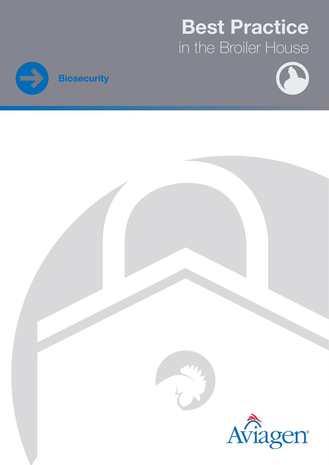# Best Practice in the Broiler House





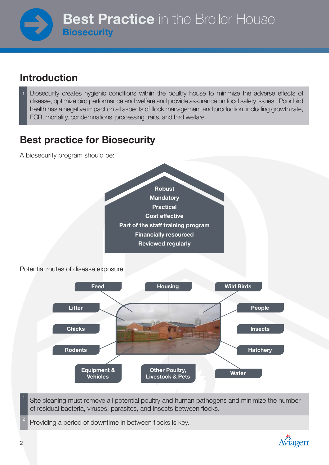### Introduction

Biosecurity creates hygienic conditions within the poultry house to minimize the adverse effects of disease, optimize bird performance and welfare and provide assurance on food safety issues. Poor bird health has a negative impact on all aspects of flock management and production, including growth rate, FCR, mortality, condemnations, processing traits, and bird welfare.

### Best practice for Biosecurity

A biosecurity program should be:



Providing a period of downtime in between flocks is key.

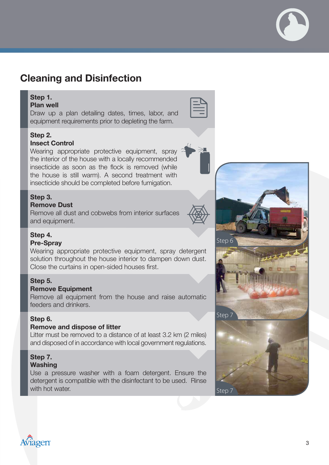### Cleaning and Disinfection

### Step 1.

Plan well Draw up a plan detailing dates, times, labor, and equipment requirements prior to depleting the farm.

### Step 2.

#### Insect Control

Wearing appropriate protective equipment, spray the interior of the house with a locally recommended insecticide as soon as the flock is removed (while the house is still warm). A second treatment with insecticide should be completed before fumigation.

### Step 3.

### Remove Dust

Remove all dust and cobwebs from interior surfaces and equipment.



### Step 4.

#### Pre-Spray

Wearing appropriate protective equipment, spray detergent solution throughout the house interior to dampen down dust. Close the curtains in open-sided houses first.

#### Step 5.

#### Remove Equipment

Remove all equipment from the house and raise automatic feeders and drinkers.

### Step 6.

#### Remove and dispose of litter

Litter must be removed to a distance of at least 3.2 km (2 miles) and disposed of in accordance with local government regulations.

### Step 7.

#### Washing

Use a pressure washer with a foam detergent. Ensure the detergent is compatible with the disinfectant to be used. Rinse with hot water.



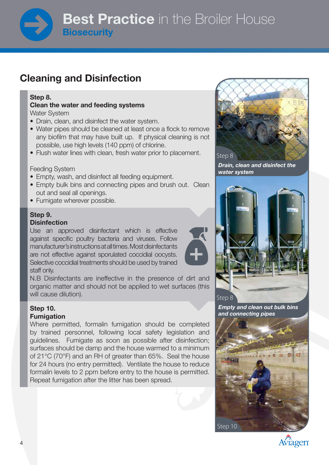### Cleaning and Disinfection

#### Step 8.

#### Clean the water and feeding systems Water System

- Drain, clean, and disinfect the water system.
- Water pipes should be cleaned at least once a flock to remove any biofilm that may have built up. If physical cleaning is not possible, use high levels (140 ppm) of chlorine.
- Flush water lines with clean, fresh water prior to placement.

### Feeding System

- Empty, wash, and disinfect all feeding equipment.
- Empty bulk bins and connecting pipes and brush out. Clean out and seal all openings.
- Fumigate wherever possible.

#### Step 9. **Disinfection**

Use an approved disinfectant which is effective against specific poultry bacteria and viruses. Follow manufacturer's instructions at all times. Most disinfectants are not effective against sporulated coccidial oocysts. Selective coccidial treatments should be used by trained staff only.

N.B Disinfectants are ineffective in the presence of dirt and organic matter and should not be applied to wet surfaces (this will cause dilution).

#### Step 10. Fumigation

Where permitted, formalin fumigation should be completed by trained personnel, following local safety legislation and guidelines. Fumigate as soon as possible after disinfection; surfaces should be damp and the house warmed to a minimum of 21°C (70°F) and an RH of greater than 65%. Seal the house for 24 hours (no entry permitted). Ventilate the house to reduce formalin levels to 2 ppm before entry to the house is permitted. Repeat fumigation after the litter has been spread.



Drain, clean and disinfect the water system



Empty and clean out bulk bins and connecting pipes



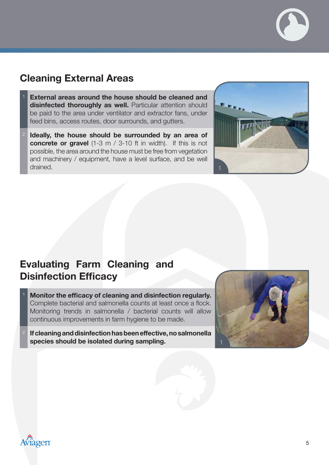### Cleaning External Areas

- External areas around the house should be cleaned and disinfected thoroughly as well. Particular attention should be paid to the area under ventilator and extractor fans, under feed bins, access routes, door surrounds, and gutters.
- Ideally, the house should be surrounded by an area of concrete or gravel (1-3 m / 3-10 ft in width). If this is not possible, the area around the house must be free from vegetation and machinery / equipment, have a level surface, and be well drained.



### Evaluating Farm Cleaning and Disinfection Efficacy

- <sup>1</sup> Monitor the efficacy of cleaning and disinfection regularly. Complete bacterial and salmonella counts at least once a flock. Monitoring trends in salmonella / bacterial counts will allow continuous improvements in farm hygiene to be made.
- <sup>2</sup> If cleaning and disinfection has been effective, no salmonella species should be isolated during sampling.



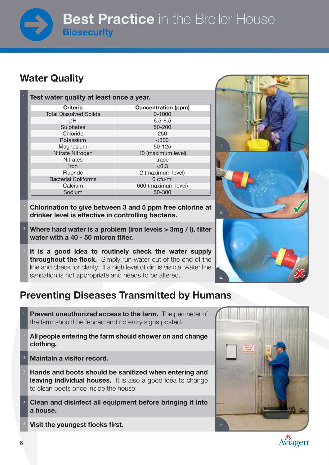## **Best Practice** in the Broiler House **Biosecurity**

### Water Quality

| Test water quality at least once a year. |                            |
|------------------------------------------|----------------------------|
| <b>Criteria</b>                          | <b>Concentration (ppm)</b> |
| <b>Total Dissolved Solids</b>            | $0 - 1000$                 |
| pH                                       | $6.5 - 8.5$                |
| Sulphates                                | 50-200                     |
| Chloride                                 | 250                        |
| Potassium                                | $<$ 300                    |
| Magnesium                                | 50-125                     |
| Nitrate Nitrogen                         | 10 (maximum level)         |
| <b>Nitrates</b>                          | trace                      |
| Iron                                     | < 0.3                      |
| Fluoride                                 | 2 (maximum level)          |
| <b>Bacterial Coliforms</b>               | $0$ cfu/ml                 |
| Calcium                                  | 600 (maximum level)        |
| Sodium                                   | 50-300                     |

- <sup>2</sup> Chlorination to give between 3 and 5 ppm free chlorine at drinker level is effective in controlling bacteria.
- <sup>3</sup> Where hard water is a problem (iron levels > 3mg / l), filter water with a 40 - 50 micron filter.
- It is a good idea to routinely check the water supply **throughout the flock.** Simply run water out of the end of the line and check for clarity. If a high level of dirt is visible, water line sanitation is not appropriate and needs to be altered.

### Preventing Diseases Transmitted by Humans

- **Prevent unauthorized access to the farm.** The perimeter of the farm should be fenced and no entry signs posted.
- All people entering the farm should shower on and change clothing.
- <sup>3</sup> Maintain a visitor record.
- Hands and boots should be sanitized when entering and leaving individual houses. It is also a good idea to change to clean boots once inside the house.
- <sup>5</sup> Clean and disinfect all equipment before bringing it into a house.
- Visit the youngest flocks first.





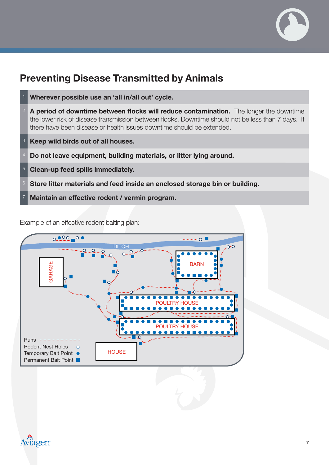

### Preventing Disease Transmitted by Animals



Example of an effective rodent baiting plan: